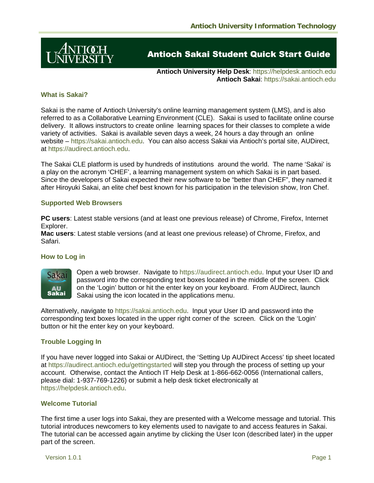

# **Antioch Sakai Student Quick Start Guide**

**Antioch University Help Desk**: https://helpdesk.antioch.edu **Antioch Sakai**: https://sakai.antioch.edu

# **What is Sakai?**

Sakai is the name of Antioch University's online learning management system (LMS), and is also referred to as a Collaborative Learning Environment (CLE). Sakai is used to facilitate online course delivery. It allows instructors to create online learning spaces for their classes to complete a wide variety of activities. Sakai is available seven days a week, 24 hours a day through an online website – https://sakai.antioch.edu. You can also access Sakai via Antioch's portal site, AUDirect, at https://audirect.antioch.edu.

The Sakai CLE platform is used by hundreds of institutions around the world. The name 'Sakai' is a play on the acronym 'CHEF', a learning management system on which Sakai is in part based. Since the developers of Sakai expected their new software to be "better than CHEF", they named it after Hiroyuki Sakai, an elite chef best known for his participation in the television show, Iron Chef.

#### **Supported Web Browsers**

**PC users**: Latest stable versions (and at least one previous release) of Chrome, Firefox, Internet Explorer.

**Mac users**: Latest stable versions (and at least one previous release) of Chrome, Firefox, and Safari.

# **How to Log in**



Open a web browser. Navigate to https://audirect.antioch.edu. Input your User ID and password into the corresponding text boxes located in the middle of the screen. Click on the 'Login' button or hit the enter key on your keyboard. From AUDirect, launch Sakai using the icon located in the applications menu.

Alternatively, navigate to https://sakai.antioch.edu. Input your User ID and password into the corresponding text boxes located in the upper right corner of the screen. Click on the 'Login' button or hit the enter key on your keyboard.

# **Trouble Logging In**

If you have never logged into Sakai or AUDirect, the 'Setting Up AUDirect Access' tip sheet located at https://audirect.antioch.edu/gettingstarted will step you through the process of setting up your account. Otherwise, contact the Antioch IT Help Desk at 1-866-662-0056 (International callers, please dial: 1-937-769-1226) or submit a help desk ticket electronically at https://helpdesk.antioch.edu.

#### **Welcome Tutorial**

The first time a user logs into Sakai, they are presented with a Welcome message and tutorial. This tutorial introduces newcomers to key elements used to navigate to and access features in Sakai. The tutorial can be accessed again anytime by clicking the User Icon (described later) in the upper part of the screen.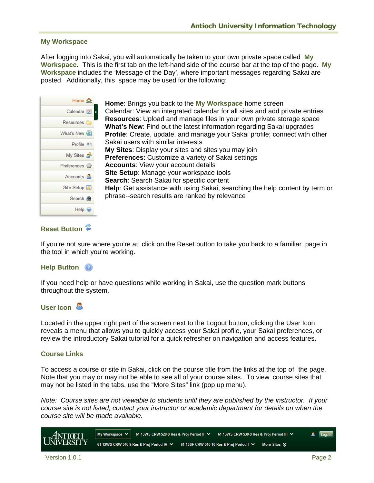# **My Workspace**

After logging into Sakai, you will automatically be taken to your own private space called **My Workspace**. This is the first tab on the left-hand side of the course bar at the top of the page. **My Workspace** includes the 'Message of the Day', where important messages regarding Sakai are posted. Additionally, this space may be used for the following:

|                      | Home in                  |
|----------------------|--------------------------|
| Calendar <b>F</b>    |                          |
| Resources <b>Fil</b> |                          |
| What's New           |                          |
|                      | $Profile$ $\blacksquare$ |
| My Sites             |                          |
| Preferences of       |                          |
| Accounts &           |                          |
| Site Setup           |                          |
| Search 醋             |                          |
|                      | Help $\odot$             |

**Home**: Brings you back to the **My Workspace** home screen Calendar: View an integrated calendar for all sites and add private entries **Resources**: Upload and manage files in your own private storage space **What's New**: Find out the latest information regarding Sakai upgrades **Profile**: Create, update, and manage your Sakai profile; connect with other Sakai users with similar interests **My Sites**: Display your sites and sites you may join **Preferences**: Customize a variety of Sakai settings **Accounts**: View your account details **Site Setup**: Manage your workspace tools **Search**: Search Sakai for specific content **Help**: Get assistance with using Sakai, searching the help content by term or phrase--search results are ranked by relevance

# Reset Button<sup>2</sup>

If you're not sure where you're at, click on the Reset button to take you back to a familiar page in the tool in which you're working.

# **Help Button**

If you need help or have questions while working in Sakai, use the question mark buttons throughout the system.

# **User Icon**

Located in the upper right part of the screen next to the Logout button, clicking the User Icon reveals a menu that allows you to quickly access your Sakai profile, your Sakai preferences, or review the introductory Sakai tutorial for a quick refresher on navigation and access features.

# **Course Links**

To access a course or site in Sakai, click on the course title from the links at the top of the page. Note that you may or may not be able to see all of your course sites. To view course sites that may not be listed in the tabs, use the "More Sites" link (pop up menu).

*Note: Course sites are not viewable to students until they are published by the instructor. If your course site is not listed, contact your instructor or academic department for details on when the course site will be made available.*